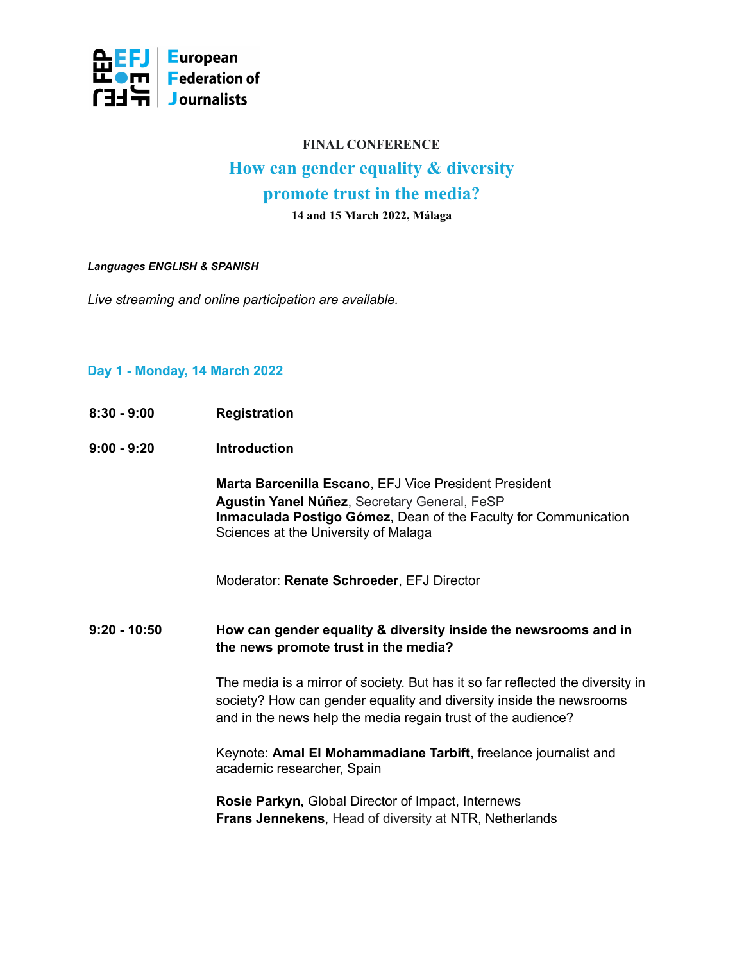

# **FINAL CONFERENCE How can gender equality & diversity promote trust in the media?**

**14 and 15 March 2022, Málaga**

#### *Languages ENGLISH & SPANISH*

*Live streaming and online participation are available.*

## **Day 1 - Monday, 14 March 2022**

- **8:30 - 9:00 Registration**
- **9:00 - 9:20 Introduction**

**Marta Barcenilla Escano**, EFJ Vice President President **Agustín Yanel Núñez**, Secretary General, FeSP **Inmaculada Postigo Gómez**, Dean of the Faculty for Communication Sciences at the University of Malaga

Moderator: **Renate Schroeder**, EFJ Director

**9:20 - 10:50 How can gender equality & diversity inside the newsrooms and in the news promote trust in the media?**

> The media is a mirror of society. But has it so far reflected the diversity in society? How can gender equality and diversity inside the newsrooms and in the news help the media regain trust of the audience?

Keynote: **Amal El Mohammadiane Tarbift**, freelance journalist and academic researcher, Spain

**Rosie Parkyn,** Global Director of Impact, Internews **Frans Jennekens**, Head of diversity at NTR, Netherlands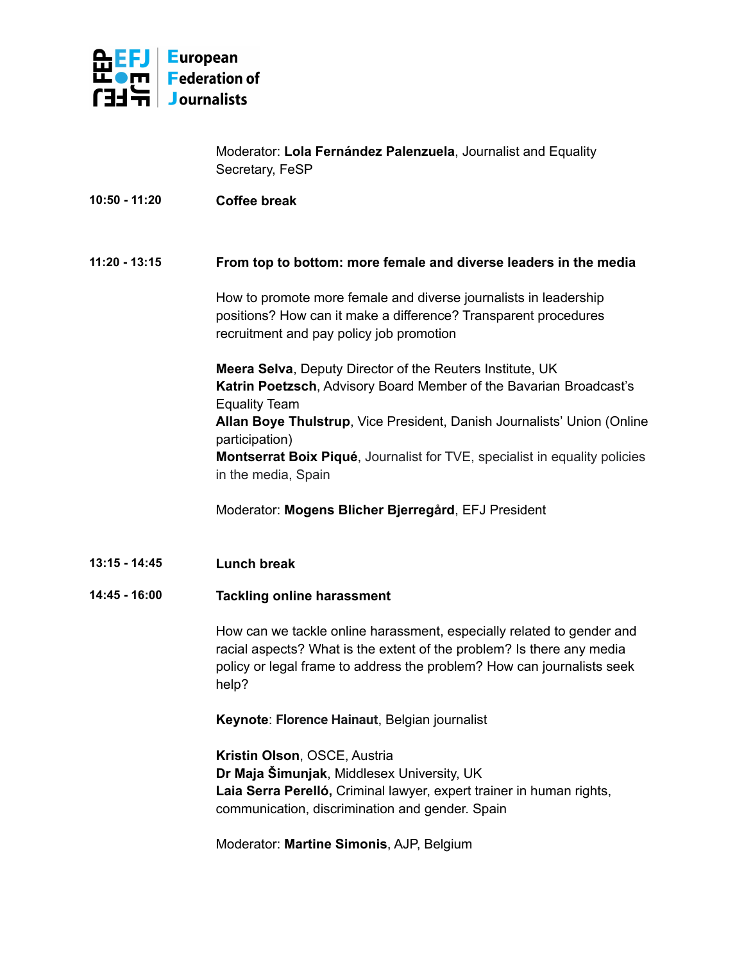

Moderator: **Lola Fernández Palenzuela**, Journalist and Equality Secretary, FeSP

# **10:50 - 11:20 Coffee break**

# **11:20 - 13:15 From top to bottom: more female and diverse leaders in the media**

How to promote more female and diverse journalists in leadership positions? How can it make a difference? Transparent procedures recruitment and pay policy job promotion

**Meera Selva**, Deputy Director of the Reuters Institute, UK **Katrin Poetzsch**, Advisory Board Member of the Bavarian Broadcast's Equality Team **Allan Boye Thulstrup**, Vice President, Danish Journalists' Union (Online participation) **Montserrat Boix Piqué**, Journalist for TVE, specialist in equality policies in the media, Spain

Moderator: **Mogens Blicher Bjerregård**, EFJ President

**13:15 - 14:45 Lunch break**

#### **14:45 - 16:00 Tackling online harassment**

How can we tackle online harassment, especially related to gender and racial aspects? What is the extent of the problem? Is there any media policy or legal frame to address the problem? How can journalists seek help?

**Keynote**: **Florence Hainaut**, Belgian journalist

**Kristin Olson**, OSCE, Austria **Dr Maja Šimunjak**, Middlesex University, UK **Laia Serra Perelló,** Criminal lawyer, expert trainer in human rights, communication, discrimination and gender. Spain

Moderator: **Martine Simonis**, AJP, Belgium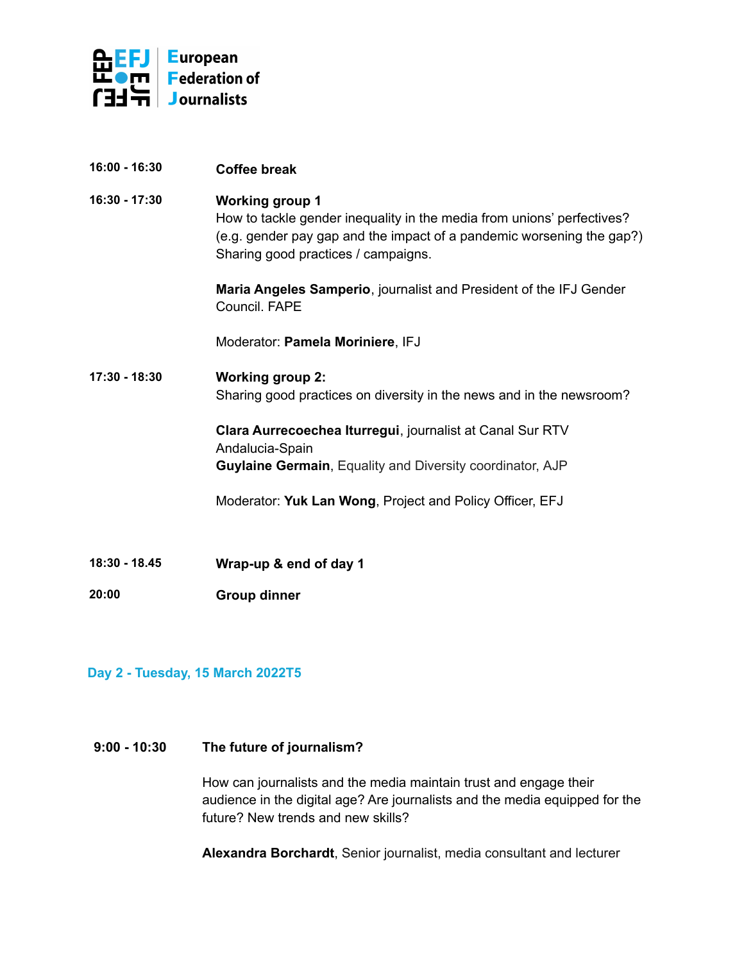

- **16:00 - 16:30 Coffee break**
- **16:30 - 17:30 Working group 1** How to tackle gender inequality in the media from unions' perfectives? (e.g. gender pay gap and the impact of a pandemic worsening the gap?) Sharing good practices / campaigns.

**Maria Angeles Samperio**, journalist and President of the IFJ Gender Council. FAPE

Moderator: **Pamela Moriniere**, IFJ

**17:30 - 18:30 Working group 2:** Sharing good practices on diversity in the news and in the newsroom?

> **Clara Aurrecoechea Iturregui**, journalist at Canal Sur RTV Andalucia-Spain **Guylaine Germain**, Equality and Diversity coordinator, AJP

Moderator: **Yuk Lan Wong**, Project and Policy Officer, EFJ

**18:30 - 18.45 Wrap-up & end of day 1**

**20:00 Group dinner**

# **Day 2 - Tuesday, 15 March 2022T5**

### **9:00 - 10:30 The future of journalism?**

How can journalists and the media maintain trust and engage their audience in the digital age? Are journalists and the media equipped for the future? New trends and new skills?

**Alexandra Borchardt**, Senior journalist, media consultant and lecturer